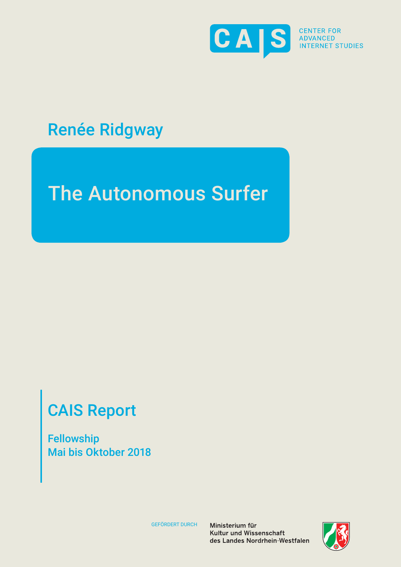

**S** CENTER FOR **INTERNET STUDIES** 

## Renée Ridgway

# The Autonomous Surfer

# CAIS Report

Fellowship Mai bis Oktober 2018

GEFÖRDERT DURCH

Ministerium für Kultur und Wissenschaft des Landes Nordrhein-Westfalen

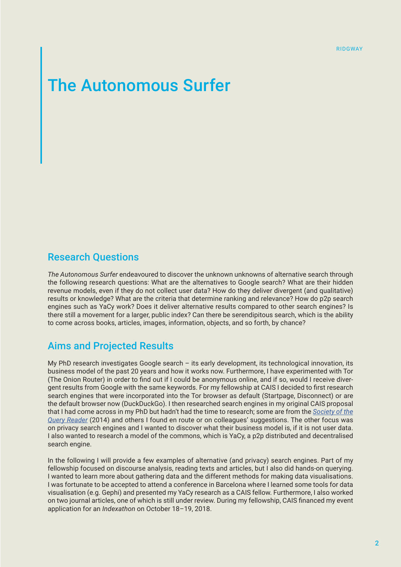### The Autonomous Surfer

#### Research Questions

*The Autonomous Surfer* endeavoured to discover the unknown unknowns of alternative search through the following research questions: What are the alternatives to Google search? What are their hidden revenue models, even if they do not collect user data? How do they deliver divergent (and qualitative) results or knowledge? What are the criteria that determine ranking and relevance? How do p2p search engines such as YaCy work? Does it deliver alternative results compared to other search engines? Is there still a movement for a larger, public index? Can there be serendipitous search, which is the ability to come across books, articles, images, information, objects, and so forth, by chance?

#### Aims and Projected Results

My PhD research investigates Google search – its early development, its technological innovation, its business model of the past 20 years and how it works now. Furthermore, I have experimented with Tor (The Onion Router) in order to find out if I could be anonymous online, and if so, would I receive divergent results from Google with the same keywords. For my fellowship at CAIS I decided to first research search engines that were incorporated into the Tor browser as default (Startpage, Disconnect) or are the default browser now (DuckDuckGo). I then researched search engines in my original CAIS proposal that I had come across in my PhD but hadn't had the time to research; some are from the *[Society of the](https://networkcultures.org/blog/publication/society-of-the-query-reader-reflections-on-web-search/) [Query Reader](https://networkcultures.org/blog/publication/society-of-the-query-reader-reflections-on-web-search/)* (2014) and others I found en route or on colleagues' suggestions. The other focus was on privacy search engines and I wanted to discover what their business model is, if it is not user data. I also wanted to research a model of the commons, which is YaCy, a p2p distributed and decentralised search engine.

In the following I will provide a few examples of alternative (and privacy) search engines. Part of my fellowship focused on discourse analysis, reading texts and articles, but I also did hands-on querying. I wanted to learn more about gathering data and the different methods for making data visualisations. I was fortunate to be accepted to attend a conference in Barcelona where I learned some tools for data visualisation (e.g. Gephi) and presented my YaCy research as a CAIS fellow. Furthermore, I also worked on two journal articles, one of which is still under review. During my fellowship, CAIS financed my event application for an *Indexathon* on October 18–19, 2018.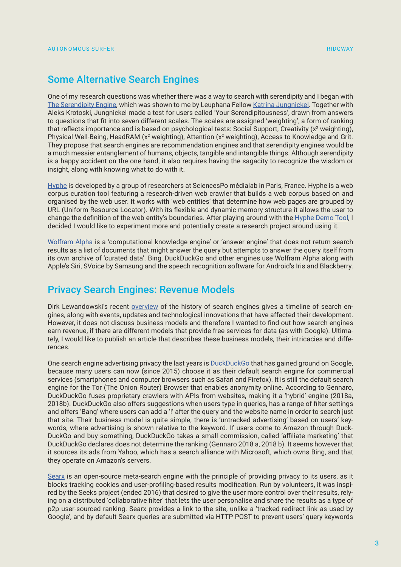#### Some Alternative Search Engines

One of my research questions was whether there was a way to search with serendipity and I began with [The Serendipity Engine,](https://www.theserendipityengine.com/) which was shown to me by Leuphana Fellow [Katrina Jungnickel.](http://katjungnickel.com/portfolio/enquiry-machine-2/) Together with Aleks Krotoski, Jungnickel made a test for users called 'Your Serendipitousness', drawn from answers to questions that fit into seven different scales. The scales are assigned 'weighting', a form of ranking that reflects importance and is based on psychological tests: Social Support, Creativity ( $x^2$  weighting), Physical Well-Being, HeadRAM (x<sup>2</sup> weighting), Attention (x<sup>2</sup> weighting), Access to Knowledge and Grit. They propose that search engines are recommendation engines and that serendipity engines would be a much messier entanglement of humans, objects, tangible and intangible things. Although serendipity is a happy accident on the one hand, it also requires having the sagacity to recognize the wisdom or insight, along with knowing what to do with it.

[Hyphe](http://tools.medialab.sciences-po.fr/) is developed by a group of researchers at SciencesPo médialab in Paris, France. Hyphe is a web corpus curation tool featuring a research-driven web crawler that builds a web corpus based on and organised by the web user. It works with 'web entities' that determine how web pages are grouped by URL (Uniform Resource Locator). With its flexible and dynamic memory structure it allows the user to change the definition of the web entity's boundaries. After playing around with the [Hyphe Demo Tool](http://hyphe.medialab.sciences-po.fr/demo/#/login), I decided I would like to experiment more and potentially create a research project around using it.

[Wolfram Alpha](https://www.wolframalpha.com/) is a 'computational knowledge engine' or 'answer engine' that does not return search results as a list of documents that might answer the query but attempts to answer the query itself from its own archive of 'curated data'. Bing, DuckDuckGo and other engines use Wolfram Alpha along with Apple's Siri, SVoice by Samsung and the speech recognition software for Android's Iris and Blackberry.

#### Privacy Search Engines: Revenue Models

Dirk Lewandowski's recent [overview](http://searchstudies.org/wp-content/uploads/2018/04/haw_suchmaschinen-grafik.pdf) of the history of search engines gives a timeline of search engines, along with events, updates and technological innovations that have affected their development. However, it does not discuss business models and therefore I wanted to find out how search engines earn revenue, if there are different models that provide free services for data (as with Google). Ultimately, I would like to publish an article that describes these business models, their intricacies and differences.

One search engine advertising privacy the last years is **DuckDuckGo** that has gained ground on Google, because many users can now (since 2015) choose it as their default search engine for commercial services (smartphones and computer browsers such as Safari and Firefox). It is still the default search engine for the Tor (The Onion Router) Browser that enables anonymity online. According to Gennaro, DuckDuckGo fuses proprietary crawlers with APIs from websites, making it a 'hybrid' engine (2018a, 2018b). DuckDuckGo also offers suggestions when users type in queries, has a range of filter settings and offers 'Bang' where users can add a '!' after the query and the website name in order to search just that site. Their business model is quite simple, there is 'untracked advertising' based on users' keywords, where advertising is shown relative to the keyword. If users come to Amazon through Duck-DuckGo and buy something, DuckDuckGo takes a small commission, called 'affiliate marketing' that DuckDuckGo declares does not determine the ranking (Gennaro 2018 a, 2018 b). It seems however that it sources its ads from Yahoo, which has a search alliance with Microsoft, which owns Bing, and that they operate on Amazon's servers.

[Searx](http://asciimoo.github.io/searx/user/public_instances.html) is an open-source meta-search engine with the principle of providing privacy to its users, as it blocks tracking cookies and user-profiling-based results modification. Run by volunteers, it was inspired by the Seeks project (ended 2016) that desired to give the user more control over their results, relying on a distributed 'collaborative filter' that lets the user personalise and share the results as a type of p2p user-sourced ranking. Searx provides a link to the site, unlike a 'tracked redirect link as used by Google', and by default Searx queries are submitted via HTTP POST to prevent users' query keywords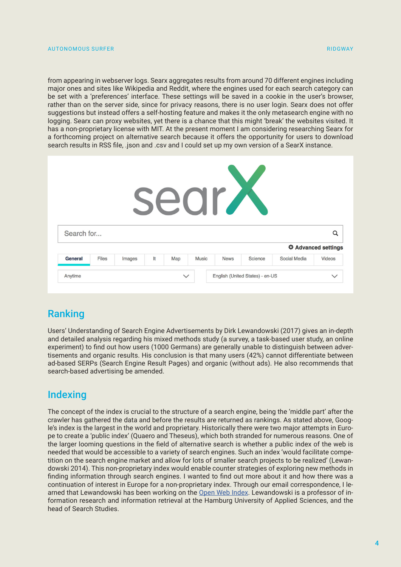from appearing in webserver logs. Searx aggregates results from around 70 different engines including major ones and sites like Wikipedia and Reddit, where the engines used for each search category can be set with a 'preferences' interface. These settings will be saved in a cookie in the user's browser, rather than on the server side, since for privacy reasons, there is no user login. Searx does not offer suggestions but instead offers a self-hosting feature and makes it the only metasearch engine with no logging. Searx can proxy websites, yet there is a chance that this might 'break' the websites visited. It has a non-proprietary license with MIT. At the present moment I am considering researching Searx for a forthcoming project on alternative search because it offers the opportunity for users to download search results in RSS file, .json and .csv and I could set up my own version of a SearX instance.

| <b>Sear</b>    |              |        |    |              |              |             |                                 |                            |               |
|----------------|--------------|--------|----|--------------|--------------|-------------|---------------------------------|----------------------------|---------------|
| Search for     |              |        |    |              |              |             |                                 |                            | Q             |
|                |              |        |    |              |              |             |                                 | <b>☆ Advanced settings</b> |               |
| <b>General</b> | <b>Files</b> | Images | It | Map          | <b>Music</b> | <b>News</b> | Science                         | <b>Social Media</b>        | <b>Videos</b> |
| Anytime        |              |        |    | $\checkmark$ |              |             | English (United States) - en-US |                            | $\checkmark$  |

### Ranking

Users' Understanding of Search Engine Advertisements by Dirk Lewandowski (2017) gives an in-depth and detailed analysis regarding his mixed methods study (a survey, a task-based user study, an online experiment) to find out how users (1000 Germans) are generally unable to distinguish between advertisements and organic results. His conclusion is that many users (42%) cannot differentiate between ad-based SERPs (Search Engine Result Pages) and organic (without ads). He also recommends that search-based advertising be amended.

#### **Indexing**

The concept of the index is crucial to the structure of a search engine, being the 'middle part' after the crawler has gathered the data and before the results are returned as rankings. As stated above, Google's index is the largest in the world and proprietary. Historically there were two major attempts in Europe to create a 'public index' (Quaero and Theseus), which both stranded for numerous reasons. One of the larger looming questions in the field of alternative search is whether a public index of the web is needed that would be accessible to a variety of search engines. Such an index 'would facilitate competition on the search engine market and allow for lots of smaller search projects to be realized' (Lewandowski 2014). This non-proprietary index would enable counter strategies of exploring new methods in finding information through search engines. I wanted to find out more about it and how there was a continuation of interest in Europe for a non-proprietary index. Through our email correspondence, I learned that Lewandowski has been working on the [Open Web Index](https://openwebindex.eu/). Lewandowski is a professor of information research and information retrieval at the Hamburg University of Applied Sciences, and the head of Search Studies.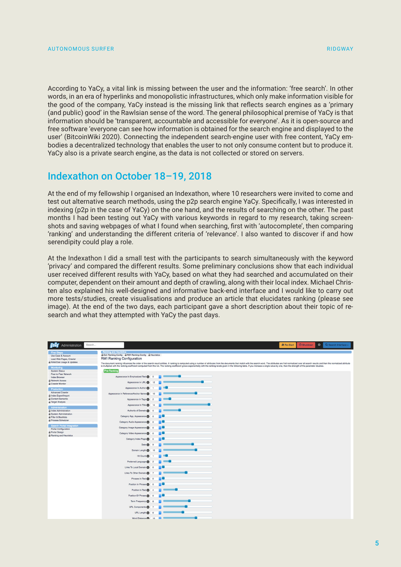According to YaCy, a vital link is missing between the user and the information: 'free search'. In other words, in an era of hyperlinks and monopolistic infrastructures, which only make information visible for the good of the company, YaCy instead is the missing link that reflects search engines as a 'primary (and public) good' in the Rawlsian sense of the word. The general philosophical premise of YaCy is that information should be 'transparent, accountable and accessible for everyone'. As it is open-source and free software 'everyone can see how information is obtained for the search engine and displayed to the user' (BitcoinWiki 2020). Connecting the independent search-engine user with free content, YaCy embodies a decentralized technology that enables the user to not only consume content but to produce it. YaCy also is a private search engine, as the data is not collected or stored on servers.

#### Indexathon on October 18–19, 2018

At the end of my fellowship I organised an Indexathon, where 10 researchers were invited to come and test out alternative search methods, using the p2p search engine YaCy. Specifically, I was interested in indexing (p2p in the case of YaCy) on the one hand, and the results of searching on the other. The past months I had been testing out YaCy with various keywords in regard to my research, taking screenshots and saving webpages of what I found when searching, first with 'autocomplete', then comparing 'ranking' and understanding the different criteria of 'relevance'. I also wanted to discover if and how serendipity could play a role.

At the Indexathon I did a small test with the participants to search simultaneously with the keyword 'privacy' and compared the different results. Some preliminary conclusions show that each individual user received different results with YaCy, based on what they had searched and accumulated on their computer, dependent on their amount and depth of crawling, along with their local index. Michael Christen also explained his well-designed and informative back-end interface and I would like to carry out more tests/studies, create visualisations and produce an article that elucidates ranking (please see image). At the end of the two days, each participant gave a short description about their topic of research and what they attempted with YaCy the past days.

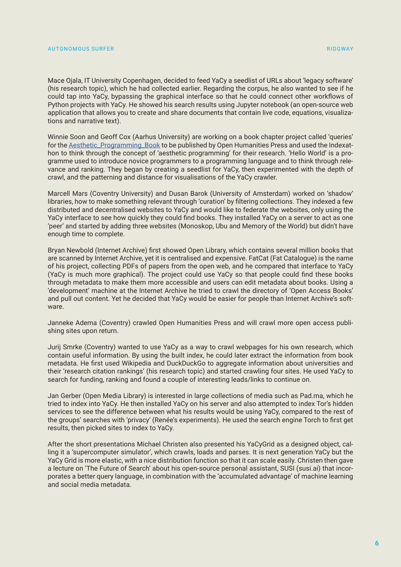Mace Ojala, IT University Copenhagen, decided to feed YaCy a seedlist of URLs about 'legacy software' (his research topic), which he had collected earlier. Regarding the corpus, he also wanted to see if he could tap into YaCy, bypassing the graphical interface so that he could connect other workflows of Python projects with YaCy. He showed his search results using Jupyter notebook (an open-source web application that allows you to create and share documents that contain live code, equations, visualizations and narrative text).

Winnie Soon and Geoff Cox (Aarhus University) are working on a book chapter project called 'queries' for the [Aesthetic\\_Programming\\_Book](https://gitlab.com/siusoon/Aesthetic_Programming_Book) to be published by Open Humanities Press and used the Indexathon to think through the concept of 'aesthetic programming' for their research. 'Hello World' is a programme used to introduce novice programmers to a programming language and to think through relevance and ranking. They began by creating a seedlist for YaCy, then experimented with the depth of crawl, and the patterning and distance for visualisations of the YaCy crawler.

Marcell Mars (Coventry University) and Dusan Barok (University of Amsterdam) worked on 'shadow' libraries, how to make something relevant through 'curation' by filtering collections. They indexed a few distributed and decentralised websites to YaCy and would like to federate the websites, only using the YaCy interface to see how quickly they could find books. They installed YaCy on a server to act as one 'peer' and started by adding three websites (Monoskop, Ubu and Memory of the World) but didn't have enough time to complete.

Bryan Newbold (Internet Archive) first showed Open Library, which contains several million books that are scanned by Internet Archive, yet it is centralised and expensive. FatCat (Fat Catalogue) is the name of his project, collecting PDFs of papers from the open web, and he compared that interface to YaCy (YaCy is much more graphical). The project could use YaCy so that people could find these books through metadata to make them more accessible and users can edit metadata about books. Using a 'development' machine at the Internet Archive he tried to crawl the directory of 'Open Access Books' and pull out content. Yet he decided that YaCy would be easier for people than Internet Archive's software.

Janneke Adema (Coventry) crawled Open Humanities Press and will crawl more open access publishing sites upon return.

Jurij Smrke (Coventry) wanted to use YaCy as a way to crawl webpages for his own research, which contain useful information. By using the built index, he could later extract the information from book metadata. He first used Wikipedia and DuckDuckGo to aggregate information about universities and their 'research citation rankings' (his research topic) and started crawling four sites. He used YaCy to search for funding, ranking and found a couple of interesting leads/links to continue on.

Jan Gerber (Open Media Library) is interested in large collections of media such as Pad.ma, which he tried to index into YaCy. He then installed YaCy on his server and also attempted to index Tor's hidden services to see the difference between what his results would be using YaCy, compared to the rest of the groups' searches with 'privacy' (Renée's experiments). He used the search engine Torch to first get results, then picked sites to index to YaCy.

After the short presentations Michael Christen also presented his YaCyGrid as a designed object, calling it a 'supercomputer simulator', which crawls, loads and parses. It is next generation YaCy but the YaCy Grid is more elastic, with a nice distribution function so that it can scale easily. Christen then gave a lecture on 'The Future of Search' about his open-source personal assistant, SUSI (susi.ai) that incorporates a better query language, in combination with the 'accumulated advantage' of machine learning and social media metadata.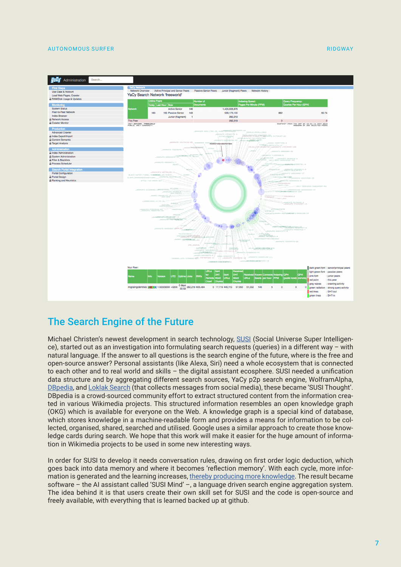#### AUTONOMOUS SURFER RIDGWAY AND AUTONOMOUS SURFER RIDGWAY



#### The Search Engine of the Future

Michael Christen's newest development in search technology, [SUSI](https://susi.ai/) (Social Universe Super Intelligence), started out as an investigation into formulating search requests (queries) in a different way – with natural language. If the answer to all questions is the search engine of the future, where is the free and open-source answer? Personal assistants (like Alexa, Siri) need a whole ecosystem that is connected to each other and to real world and skills – the digital assistant ecosphere. SUSI needed a unification data structure and by aggregating different search sources, YaCy p2p search engine, WolframAlpha, [DBpedia](https://de.wikipedia.org/wiki/DBpedia), and L[oklak Search](https://loklak.org/) (that collects messages from social media), these became 'SUSI Thought'. DBpedia is a crowd-sourced community effort to extract structured content from the information created in various Wikimedia projects. This structured information resembles an open knowledge graph (OKG) which is available for everyone on the Web. A knowledge graph is a special kind of database, which stores knowledge in a machine-readable form and provides a means for information to be collected, organised, shared, searched and utilised. Google uses a similar approach to create those knowledge cards during search. We hope that this work will make it easier for the huge amount of information in Wikimedia projects to be used in some new interesting ways.

In order for SUSI to develop it needs conversation rules, drawing on first order logic deduction, which goes back into data memory and where it becomes 'reflection memory'. With each cycle, more information is generated and the learning increases, [thereby producing more knowledge.](https://www.youtube.com/watch?v=EtKsjTR4ANI&feature=youtu.be) The result became software – the AI assistant called 'SUSI Mind' –, a language driven search engine aggregation system. The idea behind it is that users create their own skill set for SUSI and the code is open-source and freely available, with everything that is learned backed up at github.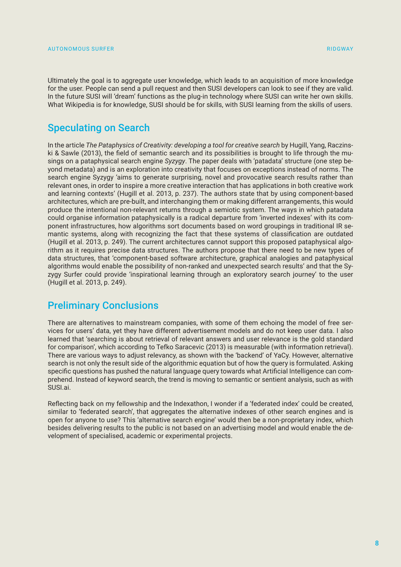Ultimately the goal is to aggregate user knowledge, which leads to an acquisition of more knowledge for the user. People can send a pull request and then SUSI developers can look to see if they are valid. In the future SUSI will 'dream' functions as the plug-in technology where SUSI can write her own skills. What Wikipedia is for knowledge, SUSI should be for skills, with SUSI learning from the skills of users.

#### Speculating on Search

In the article *The Pataphysics of Creativity: developing a tool for creative search* by Hugill, Yang, Raczinski & Sawle (2013), the field of semantic search and its possibilities is brought to life through the musings on a pataphysical search engine *Syzygy*. The paper deals with 'patadata' structure (one step beyond metadata) and is an exploration into creativity that focuses on exceptions instead of norms. The search engine Syzygy 'aims to generate surprising, novel and provocative search results rather than relevant ones, in order to inspire a more creative interaction that has applications in both creative work and learning contexts' (Hugill et al. 2013, p. 237). The authors state that by using component-based architectures, which are pre-built, and interchanging them or making different arrangements, this would produce the intentional non-relevant returns through a semiotic system. The ways in which patadata could organise information pataphysically is a radical departure from 'inverted indexes' with its component infrastructures, how algorithms sort documents based on word groupings in traditional IR semantic systems, along with recognizing the fact that these systems of classification are outdated (Hugill et al. 2013, p. 249). The current architectures cannot support this proposed pataphysical algorithm as it requires precise data structures. The authors propose that there need to be new types of data structures, that 'component-based software architecture, graphical analogies and pataphysical algorithms would enable the possibility of non-ranked and unexpected search results' and that the Syzygy Surfer could provide 'inspirational learning through an exploratory search journey' to the user (Hugill et al. 2013, p. 249).

#### Preliminary Conclusions

There are alternatives to mainstream companies, with some of them echoing the model of free services for users' data, yet they have different advertisement models and do not keep user data. I also learned that 'searching is about retrieval of relevant answers and user relevance is the gold standard for comparison', which according to Tefko Saracevic (2013) is measurable (with information retrieval). There are various ways to adjust relevancy, as shown with the 'backend' of YaCy. However, alternative search is not only the result side of the algorithmic equation but of how the query is formulated. Asking specific questions has pushed the natural language query towards what Artificial Intelligence can comprehend. Instead of keyword search, the trend is moving to semantic or sentient analysis, such as with SUSI.ai.

Reflecting back on my fellowship and the Indexathon, I wonder if a 'federated index' could be created, similar to 'federated search', that aggregates the alternative indexes of other search engines and is open for anyone to use? This 'alternative search engine' would then be a non-proprietary index, which besides delivering results to the public is not based on an advertising model and would enable the development of specialised, academic or experimental projects.